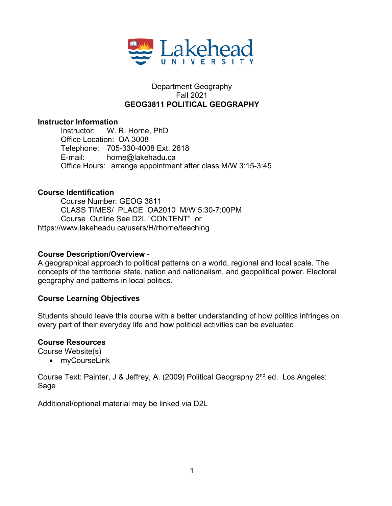

## Department Geography Fall 2021 **GEOG3811 POLITICAL GEOGRAPHY**

#### **Instructor Information**

Instructor: W. R. Horne, PhD Office Location: OA 3008 Telephone: 705-330-4008 Ext. 2618 E-mail: horne@lakehadu.ca Office Hours: arrange appointment after class M/W 3:15-3:45

## **Course Identification**

Course Number: GEOG 3811 CLASS TIMES/ PLACE OA2010 M/W 5:30-7:00PM Course Outline See D2L "CONTENT" or https://www.lakeheadu.ca/users/H/rhorne/teaching

#### **Course Description/Overview** -

A geographical approach to political patterns on a world, regional and local scale. The concepts of the territorial state, nation and nationalism, and geopolitical power. Electoral geography and patterns in local politics.

## **Course Learning Objectives**

Students should leave this course with a better understanding of how politics infringes on every part of their everyday life and how political activities can be evaluated.

## **Course Resources**

Course Website(s)

• myCourseLink

Course Text: Painter, J & Jeffrey, A. (2009) Political Geography 2<sup>nd</sup> ed. Los Angeles: Sage

Additional/optional material may be linked via D2L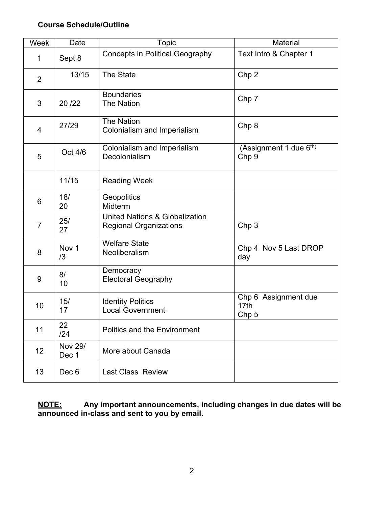## **Course Schedule/Outline**

| Week           | Date                    | Topic                                                                      | Material                                                     |
|----------------|-------------------------|----------------------------------------------------------------------------|--------------------------------------------------------------|
| 1              | Sept 8                  | <b>Concepts in Political Geography</b>                                     | Text Intro & Chapter 1                                       |
| $\overline{2}$ | 13/15                   | The State                                                                  | Chp <sub>2</sub>                                             |
| 3              | 20/22                   | <b>Boundaries</b><br><b>The Nation</b>                                     | Chp <sub>7</sub>                                             |
| 4              | 27/29                   | <b>The Nation</b><br>Colonialism and Imperialism                           | Chp 8                                                        |
| 5              | Oct 4/6                 | Colonialism and Imperialism<br>Decolonialism                               | (Assignment 1 due 6 <sup>th)</sup><br>Chp <sub>9</sub>       |
|                | 11/15                   | <b>Reading Week</b>                                                        |                                                              |
| 6              | 18/<br>20               | Geopolitics<br>Midterm                                                     |                                                              |
| $\overline{7}$ | 25/<br>27               | <b>United Nations &amp; Globalization</b><br><b>Regional Organizations</b> | Chp <sub>3</sub>                                             |
| 8              | Nov <sub>1</sub><br>/3  | <b>Welfare State</b><br>Neoliberalism                                      | Chp 4 Nov 5 Last DROP<br>day                                 |
| 9              | 8/<br>10                | Democracy<br><b>Electoral Geography</b>                                    |                                                              |
| 10             | 15/<br>17               | <b>Identity Politics</b><br><b>Local Government</b>                        | Chp 6 Assignment due<br>17 <sub>th</sub><br>Chp <sub>5</sub> |
| 11             | 22<br>/24               | <b>Politics and the Environment</b>                                        |                                                              |
| 12             | <b>Nov 29/</b><br>Dec 1 | More about Canada                                                          |                                                              |
| 13             | Dec 6                   | <b>Last Class Review</b>                                                   |                                                              |

**NOTE: Any important announcements, including changes in due dates will be announced in-class and sent to you by email.**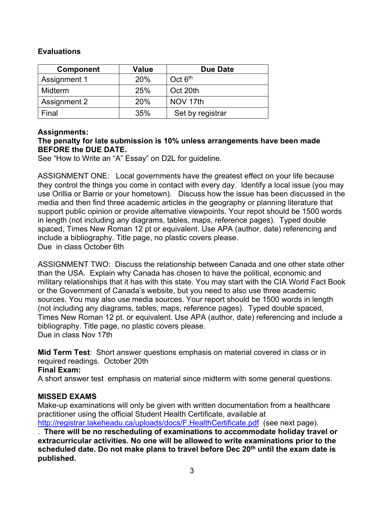# **Evaluations**

| <b>Component</b> | <b>Value</b> | <b>Due Date</b>  |
|------------------|--------------|------------------|
| Assignment 1     | 20%          | Oct $6th$        |
| Midterm          | 25%          | Oct 20th         |
| Assignment 2     | 20%          | NOV 17th         |
| Final            | 35%          | Set by registrar |

## **Assignments:**

#### **The penalty for late submission is 10% unless arrangements have been made BEFORE the DUE DATE.**

See "How to Write an "A" Essay" on D2L for guideline.

ASSIGNMENT ONE: Local governments have the greatest effect on your life because they control the things you come in contact with every day. Identify a local issue (you may use Orillia or Barrie or your hometown). Discuss how the issue has been discussed in the media and then find three academic articles in the geography or planning literature that support public opinion or provide alternative viewpoints. Your repot should be 1500 words in length (not including any diagrams, tables, maps, reference pages). Typed double spaced, Times New Roman 12 pt or equivalent. Use APA (author, date) referencing and include a bibliography. Title page, no plastic covers please. Due in class October 6th

ASSIGNMENT TWO: Discuss the relationship between Canada and one other state other than the USA. Explain why Canada has chosen to have the political, economic and military relationships that it has with this state. You may start with the CIA World Fact Book or the Government of Canada's website, but you need to also use three academic sources. You may also use media sources. Your report should be 1500 words in length (not including any diagrams, tables, maps, reference pages). Typed double spaced, Times New Roman 12 pt. or equivalent. Use APA (author, date) referencing and include a bibliography. Title page, no plastic covers please. Due in class Nov 17th

**Mid Term Test**: Short answer questions emphasis on material covered in class or in required readings. October 20th

#### **Final Exam:**

A short answer test emphasis on material since midterm with some general questions.

## **MISSED EXAMS**

Make-up examinations will only be given with written documentation from a healthcare practitioner using the official Student Health Certificate, available at http://registrar.lakeheadu.ca/uploads/docs/F.HealthCertificate.pdf (see next page).

. **There will be no rescheduling of examinations to accommodate holiday travel or extracurricular activities. No one will be allowed to write examinations prior to the scheduled date. Do not make plans to travel before Dec 20th until the exam date is published.**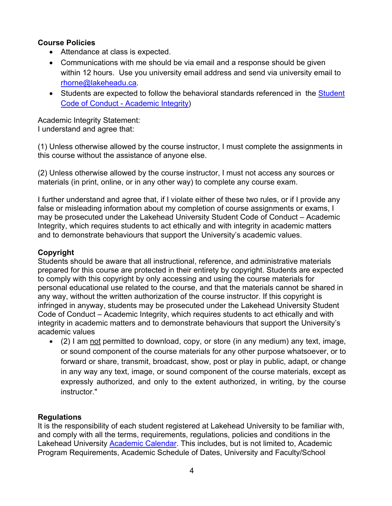# **Course Policies**

- Attendance at class is expected.
- Communications with me should be via email and a response should be given within 12 hours. Use you university email address and send via university email to rhorne@lakeheadu.ca.
- Students are expected to follow the behavioral standards referenced in the Student Code of Conduct - Academic Integrity)

Academic Integrity Statement: I understand and agree that:

(1) Unless otherwise allowed by the course instructor, I must complete the assignments in this course without the assistance of anyone else.

(2) Unless otherwise allowed by the course instructor, I must not access any sources or materials (in print, online, or in any other way) to complete any course exam.

I further understand and agree that, if I violate either of these two rules, or if I provide any false or misleading information about my completion of course assignments or exams, I may be prosecuted under the Lakehead University Student Code of Conduct – Academic Integrity, which requires students to act ethically and with integrity in academic matters and to demonstrate behaviours that support the University's academic values.

# **Copyright**

Students should be aware that all instructional, reference, and administrative materials prepared for this course are protected in their entirety by copyright. Students are expected to comply with this copyright by only accessing and using the course materials for personal educational use related to the course, and that the materials cannot be shared in any way, without the written authorization of the course instructor. If this copyright is infringed in anyway, students may be prosecuted under the Lakehead University Student Code of Conduct – Academic Integrity, which requires students to act ethically and with integrity in academic matters and to demonstrate behaviours that support the University's academic values

• (2) I am not permitted to download, copy, or store (in any medium) any text, image, or sound component of the course materials for any other purpose whatsoever, or to forward or share, transmit, broadcast, show, post or play in public, adapt, or change in any way any text, image, or sound component of the course materials, except as expressly authorized, and only to the extent authorized, in writing, by the course instructor."

## **Regulations**

It is the responsibility of each student registered at Lakehead University to be familiar with, and comply with all the terms, requirements, regulations, policies and conditions in the Lakehead University Academic Calendar. This includes, but is not limited to, Academic Program Requirements, Academic Schedule of Dates, University and Faculty/School